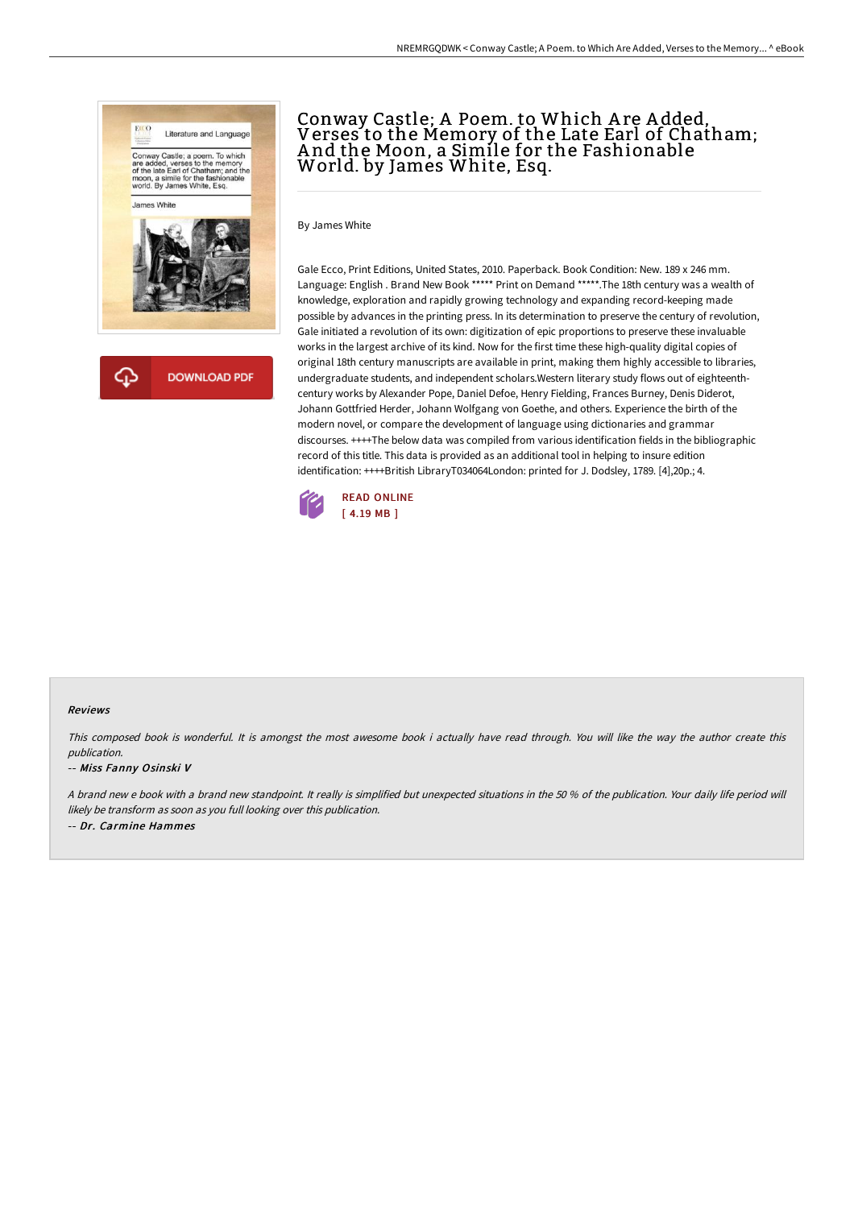

क़ **DOWNLOAD PDF** 

# Conway Castle; A Poem. to Which A re A dded, Verses to the Memory of the Late Earl of Chatham; A nd the Moon, a Simile for the Fashionable World. by James White, Esq.

By James White

Gale Ecco, Print Editions, United States, 2010. Paperback. Book Condition: New. 189 x 246 mm. Language: English . Brand New Book \*\*\*\*\* Print on Demand \*\*\*\*\*.The 18th century was a wealth of knowledge, exploration and rapidly growing technology and expanding record-keeping made possible by advances in the printing press. In its determination to preserve the century of revolution, Gale initiated a revolution of its own: digitization of epic proportions to preserve these invaluable works in the largest archive of its kind. Now for the first time these high-quality digital copies of original 18th century manuscripts are available in print, making them highly accessible to libraries, undergraduate students, and independent scholars.Western literary study flows out of eighteenthcentury works by Alexander Pope, Daniel Defoe, Henry Fielding, Frances Burney, Denis Diderot, Johann Gottfried Herder, Johann Wolfgang von Goethe, and others. Experience the birth of the modern novel, or compare the development of language using dictionaries and grammar discourses. ++++The below data was compiled from various identification fields in the bibliographic record of this title. This data is provided as an additional tool in helping to insure edition identification: ++++British LibraryT034064London: printed for J. Dodsley, 1789. [4],20p.; 4.



### Reviews

This composed book is wonderful. It is amongst the most awesome book i actually have read through. You will like the way the author create this publication.

### -- Miss Fanny Osinski V

A brand new <sup>e</sup> book with <sup>a</sup> brand new standpoint. It really is simplified but unexpected situations in the 50 % of the publication. Your daily life period will likely be transform as soon as you full looking over this publication. -- Dr. Carmine Hammes